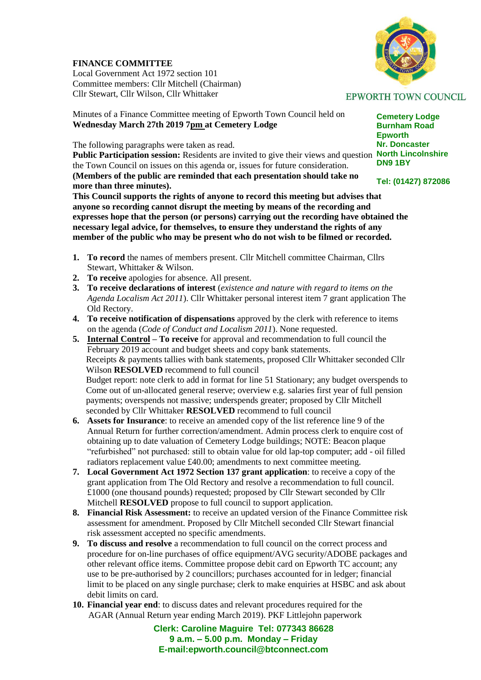## **FINANCE COMMITTEE**

Local Government Act 1972 section 101 Committee members: Cllr Mitchell (Chairman) Cllr Stewart, Cllr Wilson, Cllr Whittaker

Minutes of a Finance Committee meeting of Epworth Town Council held on **Wednesday March 27th 2019 7pm at Cemetery Lodge**

The following paragraphs were taken as read.

Public Participation session: Residents are invited to give their views and question North Lincolnshire the Town Council on issues on this agenda or, issues for future consideration. **(Members of the public are reminded that each presentation should take no** 

**more than three minutes).**

**This Council supports the rights of anyone to record this meeting but advises that anyone so recording cannot disrupt the meeting by means of the recording and expresses hope that the person (or persons) carrying out the recording have obtained the necessary legal advice, for themselves, to ensure they understand the rights of any member of the public who may be present who do not wish to be filmed or recorded.**

- **1. To record** the names of members present. Cllr Mitchell committee Chairman, Cllrs Stewart, Whittaker & Wilson.
- **2. To receive** apologies for absence. All present.
- **3. To receive declarations of interest** (*existence and nature with regard to items on the Agenda Localism Act 2011*). Cllr Whittaker personal interest item 7 grant application The Old Rectory.
- **4. To receive notification of dispensations** approved by the clerk with reference to items on the agenda (*Code of Conduct and Localism 2011*). None requested.
- **5. Internal Control – To receive** for approval and recommendation to full council the February 2019 account and budget sheets and copy bank statements. Receipts & payments tallies with bank statements, proposed Cllr Whittaker seconded Cllr Wilson **RESOLVED** recommend to full council Budget report: note clerk to add in format for line 51 Stationary; any budget overspends to Come out of un-allocated general reserve; overview e.g. salaries first year of full pension payments; overspends not massive; underspends greater; proposed by Cllr Mitchell seconded by Cllr Whittaker **RESOLVED** recommend to full council
- **6. Assets for Insurance**: to receive an amended copy of the list reference line 9 of the Annual Return for further correction/amendment. Admin process clerk to enquire cost of obtaining up to date valuation of Cemetery Lodge buildings; NOTE: Beacon plaque "refurbished" not purchased: still to obtain value for old lap-top computer; add - oil filled radiators replacement value £40.00; amendments to next committee meeting.
- **7. Local Government Act 1972 Section 137 grant application**: to receive a copy of the grant application from The Old Rectory and resolve a recommendation to full council. £1000 (one thousand pounds) requested; proposed by Cllr Stewart seconded by Cllr Mitchell **RESOLVED** propose to full council to support application.
- **8. Financial Risk Assessment:** to receive an updated version of the Finance Committee risk assessment for amendment. Proposed by Cllr Mitchell seconded Cllr Stewart financial risk assessment accepted no specific amendments.
- **9. To discuss and resolve** a recommendation to full council on the correct process and procedure for on-line purchases of office equipment/AVG security/ADOBE packages and other relevant office items. Committee propose debit card on Epworth TC account; any use to be pre-authorised by 2 councillors; purchases accounted for in ledger; financial limit to be placed on any single purchase; clerk to make enquiries at HSBC and ask about debit limits on card.
- **10. Financial year end**: to discuss dates and relevant procedures required for the AGAR (Annual Return year ending March 2019). PKF Littlejohn paperwork

**Clerk: Caroline Maguire Tel: 077343 86628 9 a.m. – 5.00 p.m. Monday – Friday E-mail:epworth.council@btconnect.com**



**Cemetery Lodge Burnham Road Epworth Nr. Doncaster DN9 1BY**

**Tel: (01427) 872086**